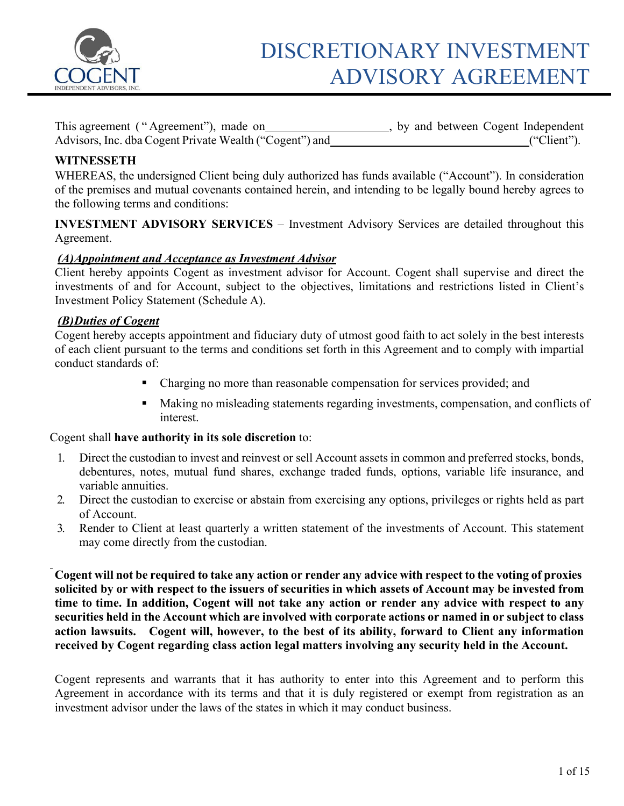

| This agreement ("Agreement"), made on                   | , by and between Cogent Independent |             |
|---------------------------------------------------------|-------------------------------------|-------------|
| Advisors, Inc. dba Cogent Private Wealth ("Cogent") and |                                     | ("Client"). |

## **WITNESSETH**

WHEREAS, the undersigned Client being duly authorized has funds available ("Account"). In consideration of the premises and mutual covenants contained herein, and intending to be legally bound hereby agrees to the following terms and conditions:

**INVESTMENT ADVISORY SERVICES** – Investment Advisory Services are detailed throughout this Agreement.

## *(A)Appointment and Acceptance as Investment Advisor*

Client hereby appoints Cogent as investment advisor for Account. Cogent shall supervise and direct the investments of and for Account, subject to the objectives, limitations and restrictions listed in Client's Investment Policy Statement (Schedule A).

## *(B)Duties of Cogent*

Cogent hereby accepts appointment and fiduciary duty of utmost good faith to act solely in the best interests of each client pursuant to the terms and conditions set forth in this Agreement and to comply with impartial conduct standards of:

- Charging no more than reasonable compensation for services provided; and
- Making no misleading statements regarding investments, compensation, and conflicts of interest.

### Cogent shall **have authority in its sole discretion** to:

- 1. Direct the custodian to invest and reinvest or sell Account assets in common and preferred stocks, bonds, debentures, notes, mutual fund shares, exchange traded funds, options, variable life insurance, and variable annuities.
- 2. Direct the custodian to exercise or abstain from exercising any options, privileges or rights held as part of Account.
- 3. Render to Client at least quarterly a written statement of the investments of Account. This statement may come directly from the custodian.

Cogent will not be required to take any action or render any advice with respect to the voting of proxies solicited by or with respect to the issuers of securities in which assets of Account may be invested from **time to time. In addition, Cogent will not take any action or render any advice with respect to any securities held in the Account which are involved with corporate actions or named in or subject to class action lawsuits. Cogent will, however, to the best of its ability, forward to Client any information received by Cogent regarding class action legal matters involving any security held in the Account.**

Cogent represents and warrants that it has authority to enter into this Agreement and to perform this Agreement in accordance with its terms and that it is duly registered or exempt from registration as an investment advisor under the laws of the states in which it may conduct business.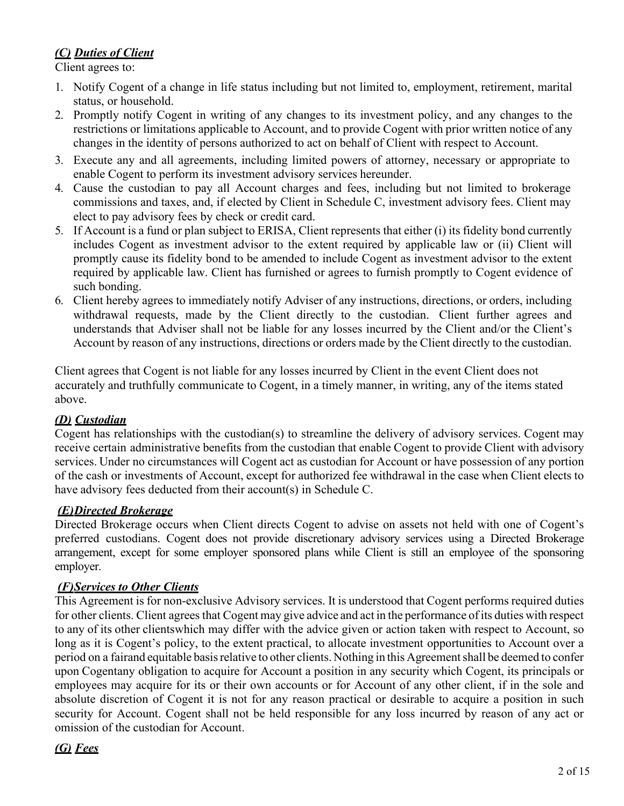## *(C) Duties of Client*

Client agrees to:

- 1. Notify Cogent of a change in life status including but not limited to, employment, retirement, marital status, or household.
- 2. Promptly notify Cogent in writing of any changes to its investment policy, and any changes to the restrictions or limitations applicable to Account, and to provide Cogent with prior written notice of any changes in the identity of persons authorized to act on behalf of Client with respect to Account.
- 3. Execute any and all agreements, including limited powers of attorney, necessary or appropriate to enable Cogent to perform its investment advisory services hereunder.
- 4. Cause the custodian to pay all Account charges and fees, including but not limited to brokerage commissions and taxes, and, if elected by Client in Schedule C, investment advisory fees. Client may elect to pay advisory fees by check or credit card.
- 5. If Account is a fund or plan subject to ERISA, Client represents that either (i) its fidelity bond currently includes Cogent as investment advisor to the extent required by applicable law or (ii) Client will promptly cause its fidelity bond to be amended to include Cogent as investment advisor to the extent required by applicable law. Client has furnished or agrees to furnish promptly to Cogent evidence of such bonding.
- 6. Client hereby agrees to immediately notify Adviser of any instructions, directions, or orders, including withdrawal requests, made by the Client directly to the custodian. Client further agrees and understands that Adviser shall not be liable for any losses incurred by the Client and/or the Client's Account by reason of any instructions, directions or orders made by the Client directly to the custodian.

Client agrees that Cogent is not liable for any losses incurred by Client in the event Client does not accurately and truthfully communicate to Cogent, in a timely manner, in writing, any of the items stated above.

## *(D) Custodian*

Cogent has relationships with the custodian(s) to streamline the delivery of advisory services. Cogent may receive certain administrative benefits from the custodian that enable Cogent to provide Client with advisory services. Under no circumstances will Cogent act as custodian for Account or have possession of any portion of the cash or investments of Account, except for authorized fee withdrawal in the case when Client elects to have advisory fees deducted from their account(s) in Schedule C.

## *(E)Directed Brokerage*

Directed Brokerage occurs when Client directs Cogent to advise on assets not held with one of Cogent's preferred custodians. Cogent does not provide discretionary advisory services using a Directed Brokerage arrangement, except for some employer sponsored plans while Client is still an employee of the sponsoring employer.

## *(F)Services to Other Clients*

This Agreement is for non-exclusive Advisory services. It is understood that Cogent performs required duties for other clients. Client agrees that Cogent may give advice and act in the performance of its duties with respect to any of its other clientswhich may differ with the advice given or action taken with respect to Account, so long as it is Cogent's policy, to the extent practical, to allocate investment opportunities to Account over a period on a fairand equitable basisrelative to other clients. Nothing in this Agreementshall be deemed to confer upon Cogentany obligation to acquire for Account a position in any security which Cogent, its principals or employees may acquire for its or their own accounts or for Account of any other client, if in the sole and absolute discretion of Cogent it is not for any reason practical or desirable to acquire a position in such security for Account. Cogent shall not be held responsible for any loss incurred by reason of any act or omission of the custodian for Account.

## *(G) Fees*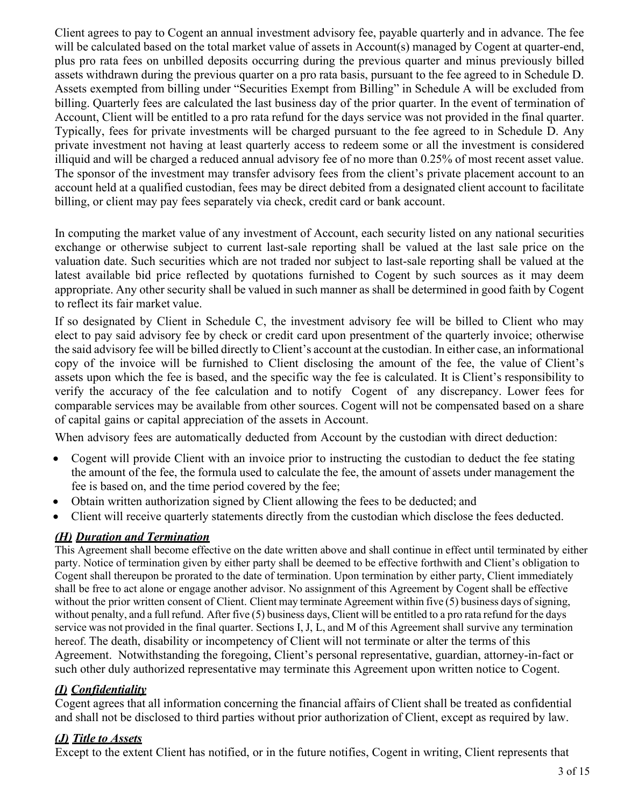Client agrees to pay to Cogent an annual investment advisory fee, payable quarterly and in advance. The fee will be calculated based on the total market value of assets in Account(s) managed by Cogent at quarter-end, plus pro rata fees on unbilled deposits occurring during the previous quarter and minus previously billed assets withdrawn during the previous quarter on a pro rata basis, pursuant to the fee agreed to in Schedule D. Assets exempted from billing under "Securities Exempt from Billing" in Schedule A will be excluded from billing. Quarterly fees are calculated the last business day of the prior quarter. In the event of termination of Account, Client will be entitled to a pro rata refund for the days service was not provided in the final quarter. Typically, fees for private investments will be charged pursuant to the fee agreed to in Schedule D. Any private investment not having at least quarterly access to redeem some or all the investment is considered illiquid and will be charged a reduced annual advisory fee of no more than 0.25% of most recent asset value. The sponsor of the investment may transfer advisory fees from the client's private placement account to an account held at a qualified custodian, fees may be direct debited from a designated client account to facilitate billing, or client may pay fees separately via check, credit card or bank account.

In computing the market value of any investment of Account, each security listed on any national securities exchange or otherwise subject to current last-sale reporting shall be valued at the last sale price on the valuation date. Such securities which are not traded nor subject to last-sale reporting shall be valued at the latest available bid price reflected by quotations furnished to Cogent by such sources as it may deem appropriate. Any other security shall be valued in such manner as shall be determined in good faith by Cogent to reflect its fair market value.

If so designated by Client in Schedule C, the investment advisory fee will be billed to Client who may elect to pay said advisory fee by check or credit card upon presentment of the quarterly invoice; otherwise the said advisory fee will be billed directly to Client's account at the custodian. In either case, an informational copy of the invoice will be furnished to Client disclosing the amount of the fee, the value of Client's assets upon which the fee is based, and the specific way the fee is calculated. It is Client's responsibility to verify the accuracy of the fee calculation and to notify Cogent of any discrepancy. Lower fees for comparable services may be available from other sources. Cogent will not be compensated based on a share of capital gains or capital appreciation of the assets in Account.

When advisory fees are automatically deducted from Account by the custodian with direct deduction:

- Cogent will provide Client with an invoice prior to instructing the custodian to deduct the fee stating the amount of the fee, the formula used to calculate the fee, the amount of assets under management the fee is based on, and the time period covered by the fee;
- Obtain written authorization signed by Client allowing the fees to be deducted; and
- Client will receive quarterly statements directly from the custodian which disclose the fees deducted.

## *(H) Duration and Termination*

This Agreement shall become effective on the date written above and shall continue in effect until terminated by either party. Notice of termination given by either party shall be deemed to be effective forthwith and Client's obligation to Cogent shall thereupon be prorated to the date of termination. Upon termination by either party, Client immediately shall be free to act alone or engage another advisor. No assignment of this Agreement by Cogent shall be effective without the prior written consent of Client. Client may terminate Agreement within five  $(5)$  business days of signing, without penalty, and a full refund. After five (5) business days, Client will be entitled to a pro rata refund for the days service was not provided in the final quarter. Sections I, J, L, and M of this Agreement shall survive any termination hereof. The death, disability or incompetency of Client will not terminate or alter the terms of this Agreement. Notwithstanding the foregoing, Client's personal representative, guardian, attorney-in-fact or such other duly authorized representative may terminate this Agreement upon written notice to Cogent.

## *(I) Confidentiality*

Cogent agrees that all information concerning the financial affairs of Client shall be treated as confidential and shall not be disclosed to third parties without prior authorization of Client, except as required by law.

### *(J) Title to Assets*

Except to the extent Client has notified, or in the future notifies, Cogent in writing, Client represents that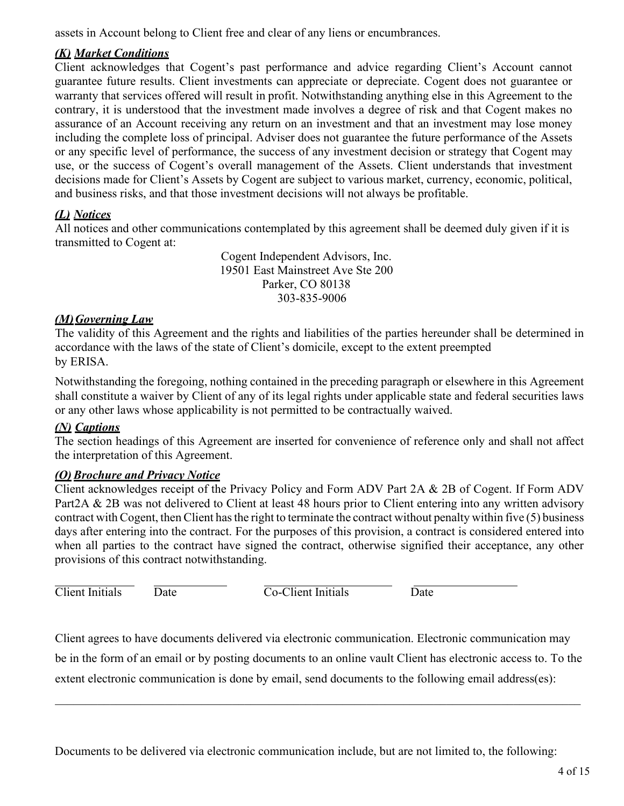assets in Account belong to Client free and clear of any liens or encumbrances.

## *(K) Market Conditions*

Client acknowledges that Cogent's past performance and advice regarding Client's Account cannot guarantee future results. Client investments can appreciate or depreciate. Cogent does not guarantee or warranty that services offered will result in profit. Notwithstanding anything else in this Agreement to the contrary, it is understood that the investment made involves a degree of risk and that Cogent makes no assurance of an Account receiving any return on an investment and that an investment may lose money including the complete loss of principal. Adviser does not guarantee the future performance of the Assets or any specific level of performance, the success of any investment decision or strategy that Cogent may use, or the success of Cogent's overall management of the Assets. Client understands that investment decisions made for Client's Assets by Cogent are subject to various market, currency, economic, political, and business risks, and that those investment decisions will not always be profitable.

## *(L) Notices*

All notices and other communications contemplated by this agreement shall be deemed duly given if it is transmitted to Cogent at:

> Cogent Independent Advisors, Inc. 19501 East Mainstreet Ave Ste 200 Parker, CO 80138 303-835-9006

## *(M)Governing Law*

The validity of this Agreement and the rights and liabilities of the parties hereunder shall be determined in accordance with the laws of the state of Client's domicile, except to the extent preempted by ERISA.

Notwithstanding the foregoing, nothing contained in the preceding paragraph or elsewhere in this Agreement shall constitute a waiver by Client of any of its legal rights under applicable state and federal securities laws or any other laws whose applicability is not permitted to be contractually waived.

## *(N) Captions*

The section headings of this Agreement are inserted for convenience of reference only and shall not affect the interpretation of this Agreement.

## *(O)Brochure and Privacy Notice*

Client acknowledges receipt of the Privacy Policy and Form ADV Part 2A & 2B of Cogent. If Form ADV Part2A & 2B was not delivered to Client at least 48 hours prior to Client entering into any written advisory contract with Cogent, then Client has the right to terminate the contract without penalty within five (5) business days after entering into the contract. For the purposes of this provision, a contract is considered entered into when all parties to the contract have signed the contract, otherwise signified their acceptance, any other provisions of this contract notwithstanding.

Client Initials Date Co-Client Initials Date

Client agrees to have documents delivered via electronic communication. Electronic communication may

be in the form of an email or by posting documents to an online vault Client has electronic access to. To the extent electronic communication is done by email, send documents to the following email address(es):

 $\mathcal{L}_\mathcal{L} = \{ \mathcal{L}_\mathcal{L} = \{ \mathcal{L}_\mathcal{L} = \{ \mathcal{L}_\mathcal{L} = \{ \mathcal{L}_\mathcal{L} = \{ \mathcal{L}_\mathcal{L} = \{ \mathcal{L}_\mathcal{L} = \{ \mathcal{L}_\mathcal{L} = \{ \mathcal{L}_\mathcal{L} = \{ \mathcal{L}_\mathcal{L} = \{ \mathcal{L}_\mathcal{L} = \{ \mathcal{L}_\mathcal{L} = \{ \mathcal{L}_\mathcal{L} = \{ \mathcal{L}_\mathcal{L} = \{ \mathcal{L}_\mathcal{$ 

Documents to be delivered via electronic communication include, but are not limited to, the following: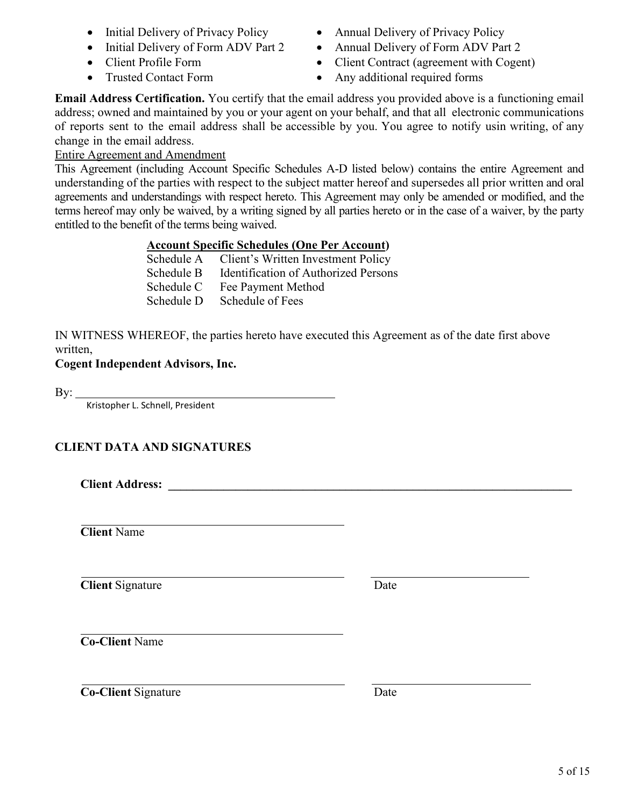- 
- Initial Delivery of Form ADV Part 2 Annual Delivery of Form ADV Part 2
- 
- 
- Initial Delivery of Privacy Policy Annual Delivery of Privacy Policy
	-
- Client Profile Form Client Contract (agreement with Cogent)
- Trusted Contact Form Any additional required forms

**Email Address Certification.** You certify that the email address you provided above is a functioning email address; owned and maintained by you or your agent on your behalf, and that all electronic communications of reports sent to the email address shall be accessible by you. You agree to notify usin writing, of any change in the email address.

## Entire Agreement and Amendment

This Agreement (including Account Specific Schedules A-D listed below) contains the entire Agreement and understanding of the parties with respect to the subject matter hereof and supersedes all prior written and oral agreements and understandings with respect hereto. This Agreement may only be amended or modified, and the terms hereof may only be waived, by a writing signed by all parties hereto or in the case of a waiver, by the party entitled to the benefit of the terms being waived.

## **Account Specific Schedules (One Per Account)**

|            | Schedule A Client's Written Investment Policy |
|------------|-----------------------------------------------|
| Schedule B | Identification of Authorized Persons          |
| Schedule C | Fee Payment Method                            |
| Schedule D | Schedule of Fees                              |

IN WITNESS WHEREOF, the parties hereto have executed this Agreement as of the date first above written,

## **Cogent Independent Advisors, Inc.**

 $\mathrm{By:}\_$ 

Kristopher L. Schnell, President

## **CLIENT DATA AND SIGNATURES**

**Client Address: \_\_\_\_\_\_\_\_\_\_\_\_\_\_\_\_\_\_\_\_\_\_\_\_\_\_\_\_\_\_\_\_\_\_\_\_\_\_\_\_\_\_\_\_\_\_\_\_\_\_\_\_\_\_\_\_\_\_\_\_\_\_\_\_\_\_**

**Client** Name

**Client** Signature Date

**Co-Client** Name

**Co-Client** Signature Date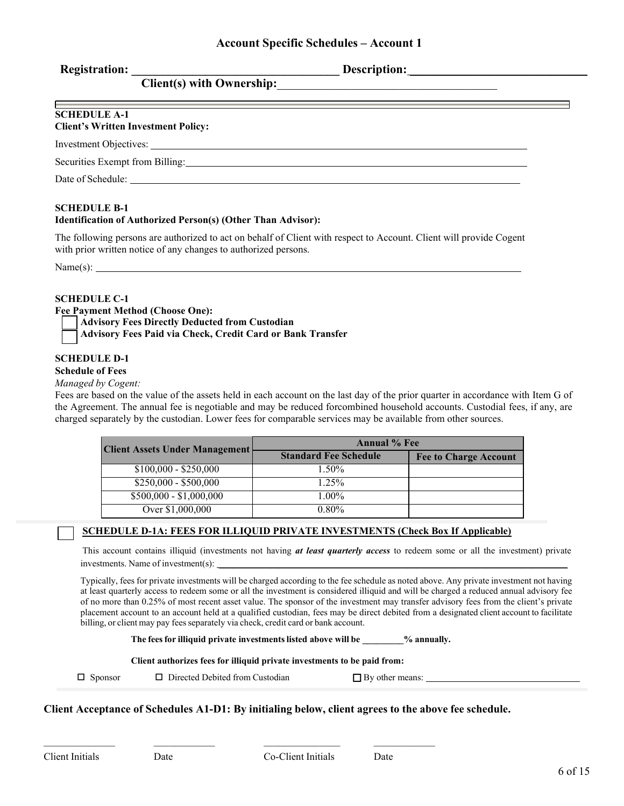| <b>Registration:</b> |  |
|----------------------|--|

Description:

## **SCHEDULE A-1**

### **Client's Written Investment Policy:**

Investment Objectives:

Securities Exempt from Billing:

Date of Schedule:

### **SCHEDULE B-1**

### **Identification of Authorized Person(s) (Other Than Advisor):**

**Client(s) with Ownership:**\_\_\_\_\_\_\_\_\_\_\_\_\_\_\_\_\_\_\_\_\_\_\_\_\_\_\_\_\_\_\_\_\_\_\_\_

The following persons are authorized to act on behalf of Client with respect to Account. Client will provide Cogent with prior written notice of any changes to authorized persons.

Name(s):

# **SCHEDULE C-1**

**Fee Payment Method (Choose One): Advisory Fees Directly Deducted from Custodian**

**Advisory Fees Paid via Check, Credit Card or Bank Transfer**

### **SCHEDULE D-1**

### **Schedule of Fees**

#### *Managed by Cogent:*

Fees are based on the value of the assets held in each account on the last day of the prior quarter in accordance with Item G of the Agreement. The annual fee is negotiable and may be reduced forcombined household accounts. Custodial fees, if any, are charged separately by the custodian. Lower fees for comparable services may be available from other sources.

| <b>Client Assets Under Management</b> | <b>Annual</b> % Fee          |                              |  |
|---------------------------------------|------------------------------|------------------------------|--|
|                                       | <b>Standard Fee Schedule</b> | <b>Fee to Charge Account</b> |  |
| $$100,000 - $250,000$                 | $1.50\%$                     |                              |  |
| $$250,000 - $500,000$                 | $1.25\%$                     |                              |  |
| $$500,000 - $1,000,000$               | $1.00\%$                     |                              |  |
| Over \$1,000,000                      | $0.80\%$                     |                              |  |

### **SCHEDULE D-1A: FEES FOR ILLIQUID PRIVATE INVESTMENTS (Check Box If Applicable)**

This account contains illiquid (investments not having *at least quarterly access* to redeem some or all the investment) private investments. Name of investment(s):

Typically, fees for private investments will be charged according to the fee schedule as noted above. Any private investment not having at least quarterly access to redeem some or all the investment is considered illiquid and will be charged a reduced annual advisory fee of no more than 0.25% of most recent asset value. The sponsor of the investment may transfer advisory fees from the client's private placement account to an account held at a qualified custodian, fees may be direct debited from a designated client account to facilitate billing, or client may pay fees separately via check, credit card or bank account.

**The feesfor illiquid private investmentslisted above will be \_\_\_\_\_\_\_\_\_% annually.**

#### **Client authorizes fees for illiquid private investments to be paid from:**

 $\Box$  . The contract of the contract of the contract of the contract of the contract of the contract of the contract of the contract of the contract of the contract of the contract of the contract of the contract of the co

 $\Box$  Sponsor  $\Box$  Directed Debited from Custodian

 $\Box$  By other means:  $\Box$ 

### **Client Acceptance of Schedules A1-D1: By initialing below, client agrees to the above fee schedule.**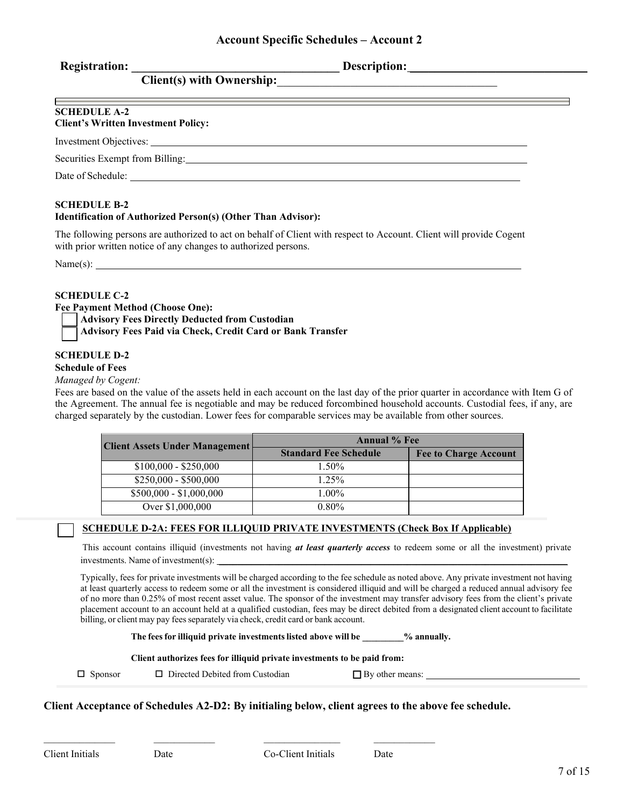| <b>Registration:</b> |  |
|----------------------|--|
|                      |  |

**Registration: \_\_\_\_\_\_\_\_\_\_\_\_\_\_\_\_\_\_\_\_\_\_\_\_\_\_\_\_\_\_\_\_\_\_ Description:** \_\_\_\_\_\_\_\_\_\_\_\_\_\_\_\_\_\_\_\_\_\_\_\_\_\_\_\_\_

| <b>SCHEDULE A-2</b><br><b>Client's Written Investment Policy:</b> |  |
|-------------------------------------------------------------------|--|
| Investment Objectives:                                            |  |
| Securities Exempt from Billing:                                   |  |
| Date of Schedule:                                                 |  |

**SCHEDULE B-2**

### **Identification of Authorized Person(s) (Other Than Advisor):**

**Client(s) with Ownership:**\_\_\_\_\_\_\_\_\_\_\_\_\_\_\_\_\_\_\_\_\_\_\_\_\_\_\_\_\_\_\_\_\_\_\_\_

The following persons are authorized to act on behalf of Client with respect to Account. Client will provide Cogent with prior written notice of any changes to authorized persons.

Name(s):

### **SCHEDULE C-2**

**Fee Payment Method (Choose One):** 

**Advisory Fees Directly Deducted from Custodian**

**Advisory Fees Paid via Check, Credit Card or Bank Transfer**

### **SCHEDULE D-2**

### **Schedule of Fees**

#### *Managed by Cogent:*

Fees are based on the value of the assets held in each account on the last day of the prior quarter in accordance with Item G of the Agreement. The annual fee is negotiable and may be reduced forcombined household accounts. Custodial fees, if any, are charged separately by the custodian. Lower fees for comparable services may be available from other sources.

| <b>Client Assets Under Management</b> | <b>Annual</b> % Fee          |                              |
|---------------------------------------|------------------------------|------------------------------|
|                                       | <b>Standard Fee Schedule</b> | <b>Fee to Charge Account</b> |
| $$100,000 - $250,000$                 | $1.50\%$                     |                              |
| $$250,000 - $500,000$                 | $1.25\%$                     |                              |
| $$500,000 - $1,000,000$               | $1.00\%$                     |                              |
| Over \$1,000,000                      | $0.80\%$                     |                              |

### **SCHEDULE D-2A: FEES FOR ILLIQUID PRIVATE INVESTMENTS (Check Box If Applicable)**

This account contains illiquid (investments not having *at least quarterly access* to redeem some or all the investment) private investments. Name of investment(s):

Typically, fees for private investments will be charged according to the fee schedule as noted above. Any private investment not having at least quarterly access to redeem some or all the investment is considered illiquid and will be charged a reduced annual advisory fee of no more than 0.25% of most recent asset value. The sponsor of the investment may transfer advisory fees from the client's private placement account to an account held at a qualified custodian, fees may be direct debited from a designated client account to facilitate billing, or client may pay fees separately via check, credit card or bank account.

**The feesfor illiquid private investmentslisted above will be \_\_\_\_\_\_\_\_\_% annually.**

#### **Client authorizes fees for illiquid private investments to be paid from:**

\_\_\_\_\_\_\_\_\_\_\_\_\_\_ \_\_\_\_\_\_\_\_\_\_\_\_ \_\_\_\_\_\_\_\_\_\_\_\_\_\_\_ \_\_\_\_\_\_\_\_\_\_\_\_

 $\Box$  Sponsor  $\Box$  Directed Debited from Custodian

 $\Box$  By other means:

#### **Client Acceptance of Schedules A2-D2: By initialing below, client agrees to the above fee schedule.**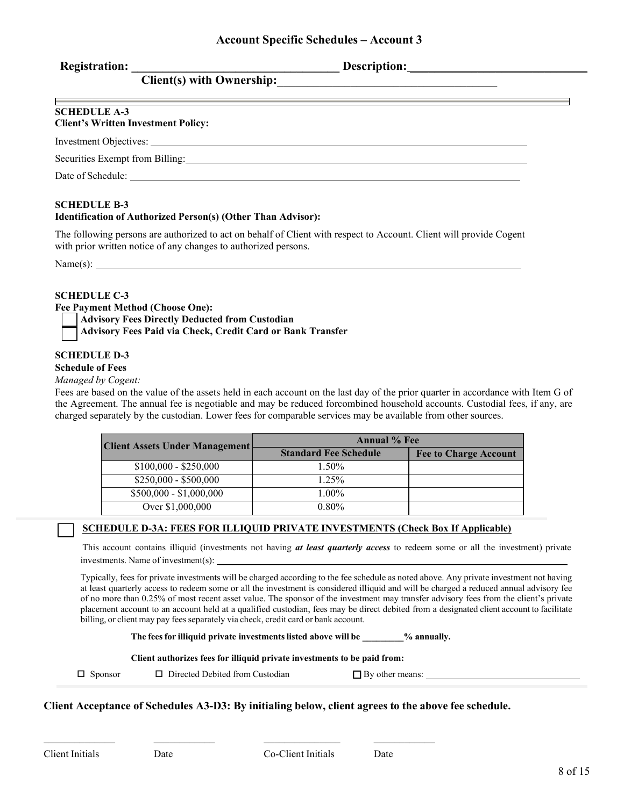|  | <b>Registration:</b> |  |
|--|----------------------|--|
|  |                      |  |

**Registration: \_\_\_\_\_\_\_\_\_\_\_\_\_\_\_\_\_\_\_\_\_\_\_\_\_\_\_\_\_\_\_\_\_\_ Description:** \_\_\_\_\_\_\_\_\_\_\_\_\_\_\_\_\_\_\_\_\_\_\_\_\_\_\_\_\_

| <b>SCHEDULE A-3</b><br><b>Client's Written Investment Policy:</b> |  |
|-------------------------------------------------------------------|--|
|                                                                   |  |
| Securities Exempt from Billing:                                   |  |
| Date of Schedule:                                                 |  |

### **SCHEDULE B-3**

### **Identification of Authorized Person(s) (Other Than Advisor):**

**Client(s) with Ownership:**\_\_\_\_\_\_\_\_\_\_\_\_\_\_\_\_\_\_\_\_\_\_\_\_\_\_\_\_\_\_\_\_\_\_\_\_

The following persons are authorized to act on behalf of Client with respect to Account. Client will provide Cogent with prior written notice of any changes to authorized persons.

 $Name(s): \_\_$ 

### **SCHEDULE C-3**

**Fee Payment Method (Choose One):** 

**Advisory Fees Directly Deducted from Custodian**

**Advisory Fees Paid via Check, Credit Card or Bank Transfer**

### **SCHEDULE D-3**

### **Schedule of Fees**

#### *Managed by Cogent:*

Fees are based on the value of the assets held in each account on the last day of the prior quarter in accordance with Item G of the Agreement. The annual fee is negotiable and may be reduced forcombined household accounts. Custodial fees, if any, are charged separately by the custodian. Lower fees for comparable services may be available from other sources.

| <b>Client Assets Under Management</b> | <b>Annual</b> % Fee          |                              |
|---------------------------------------|------------------------------|------------------------------|
|                                       | <b>Standard Fee Schedule</b> | <b>Fee to Charge Account</b> |
| $$100,000 - $250,000$                 | $1.50\%$                     |                              |
| $$250,000 - $500,000$                 | $1.25\%$                     |                              |
| $$500,000 - $1,000,000$               | $1.00\%$                     |                              |
| Over \$1,000,000                      | $0.80\%$                     |                              |

### **SCHEDULE D-3A: FEES FOR ILLIQUID PRIVATE INVESTMENTS (Check Box If Applicable)**

This account contains illiquid (investments not having *at least quarterly access* to redeem some or all the investment) private investments. Name of investment(s):

Typically, fees for private investments will be charged according to the fee schedule as noted above. Any private investment not having at least quarterly access to redeem some or all the investment is considered illiquid and will be charged a reduced annual advisory fee of no more than 0.25% of most recent asset value. The sponsor of the investment may transfer advisory fees from the client's private placement account to an account held at a qualified custodian, fees may be direct debited from a designated client account to facilitate billing, or client may pay fees separately via check, credit card or bank account.

**The feesfor illiquid private investmentslisted above will be \_\_\_\_\_\_\_\_\_% annually.**

#### **Client authorizes fees for illiquid private investments to be paid from:**

\_\_\_\_\_\_\_\_\_\_\_\_\_\_ \_\_\_\_\_\_\_\_\_\_\_\_ \_\_\_\_\_\_\_\_\_\_\_\_\_\_\_ \_\_\_\_\_\_\_\_\_\_\_\_

 $\Box$  Sponsor  $\Box$  Directed Debited from Custodian

 $\Box$  By other means:  $\Box$ 

#### **Client Acceptance of Schedules A3-D3: By initialing below, client agrees to the above fee schedule.**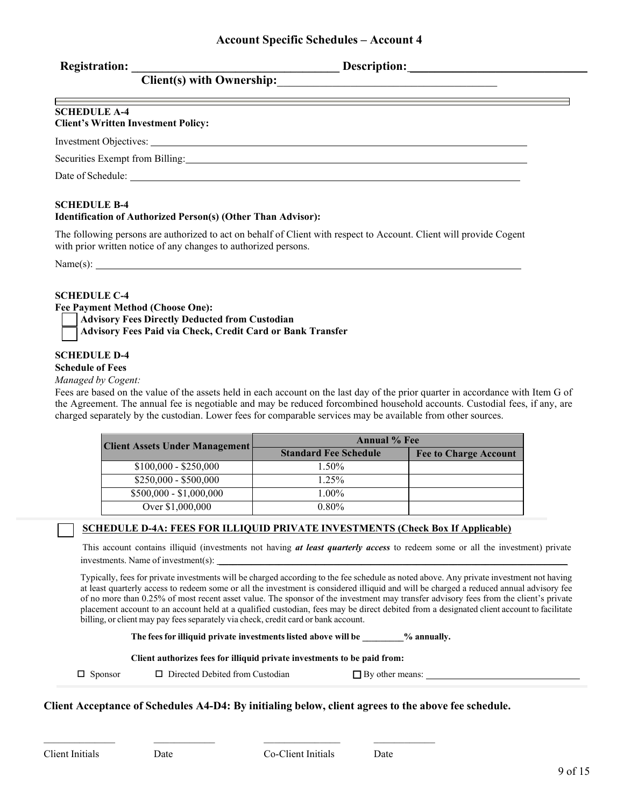| <b>Registration:</b> |  |
|----------------------|--|
|                      |  |

**Registration: \_\_\_\_\_\_\_\_\_\_\_\_\_\_\_\_\_\_\_\_\_\_\_\_\_\_\_\_\_\_\_\_\_\_ Description:** \_\_\_\_\_\_\_\_\_\_\_\_\_\_\_\_\_\_\_\_\_\_\_\_\_\_\_\_\_

| <b>SCHEDULE A-4</b><br><b>Client's Written Investment Policy:</b> |  |
|-------------------------------------------------------------------|--|
|                                                                   |  |
| Securities Exempt from Billing:                                   |  |
| Date of Schedule:                                                 |  |

### **SCHEDULE B-4**

### **Identification of Authorized Person(s) (Other Than Advisor):**

**Client(s) with Ownership:**\_\_\_\_\_\_\_\_\_\_\_\_\_\_\_\_\_\_\_\_\_\_\_\_\_\_\_\_\_\_\_\_\_\_\_\_

The following persons are authorized to act on behalf of Client with respect to Account. Client will provide Cogent with prior written notice of any changes to authorized persons.

Name(s):

### **SCHEDULE C-4**

**Fee Payment Method (Choose One):** 

**Advisory Fees Directly Deducted from Custodian**

**Advisory Fees Paid via Check, Credit Card or Bank Transfer**

### **SCHEDULE D-4**

#### **Schedule of Fees**

#### *Managed by Cogent:*

Fees are based on the value of the assets held in each account on the last day of the prior quarter in accordance with Item G of the Agreement. The annual fee is negotiable and may be reduced forcombined household accounts. Custodial fees, if any, are charged separately by the custodian. Lower fees for comparable services may be available from other sources.

| <b>Client Assets Under Management</b> | <b>Annual</b> % Fee          |                              |
|---------------------------------------|------------------------------|------------------------------|
|                                       | <b>Standard Fee Schedule</b> | <b>Fee to Charge Account</b> |
| $$100,000 - $250,000$                 | $1.50\%$                     |                              |
| $$250,000 - $500,000$                 | $1.25\%$                     |                              |
| $$500,000 - $1,000,000$               | $1.00\%$                     |                              |
| Over \$1,000,000                      | $0.80\%$                     |                              |

### **SCHEDULE D-4A: FEES FOR ILLIQUID PRIVATE INVESTMENTS (Check Box If Applicable)**

This account contains illiquid (investments not having *at least quarterly access* to redeem some or all the investment) private investments. Name of investment(s):

Typically, fees for private investments will be charged according to the fee schedule as noted above. Any private investment not having at least quarterly access to redeem some or all the investment is considered illiquid and will be charged a reduced annual advisory fee of no more than 0.25% of most recent asset value. The sponsor of the investment may transfer advisory fees from the client's private placement account to an account held at a qualified custodian, fees may be direct debited from a designated client account to facilitate billing, or client may pay fees separately via check, credit card or bank account.

**The feesfor illiquid private investmentslisted above will be \_\_\_\_\_\_\_\_\_% annually.**

#### **Client authorizes fees for illiquid private investments to be paid from:**

\_\_\_\_\_\_\_\_\_\_\_\_\_\_ \_\_\_\_\_\_\_\_\_\_\_\_ \_\_\_\_\_\_\_\_\_\_\_\_\_\_\_ \_\_\_\_\_\_\_\_\_\_\_\_

 $\Box$  Sponsor  $\Box$  Directed Debited from Custodian

 $\Box$  By other means:  $\Box$ 

### **Client Acceptance of Schedules A4-D4: By initialing below, client agrees to the above fee schedule.**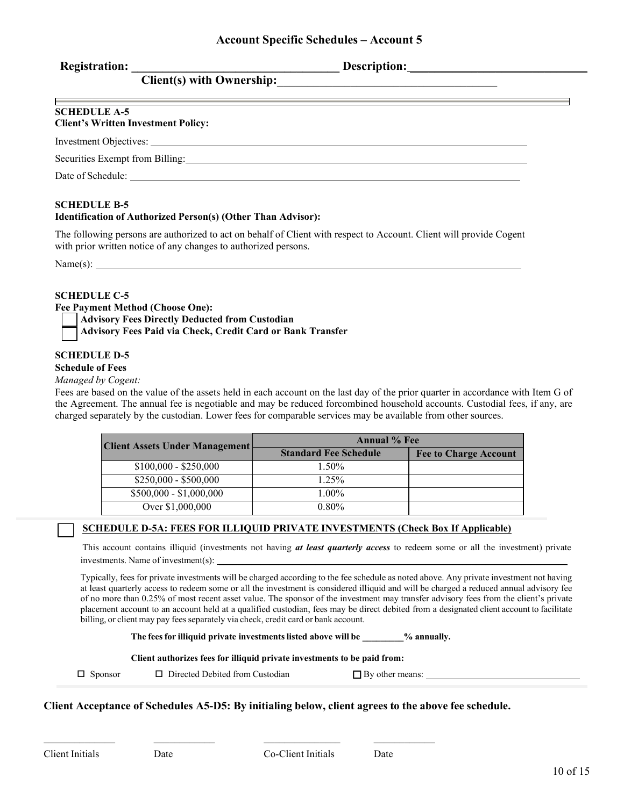|  | <b>Registration:</b> |  |
|--|----------------------|--|
|  |                      |  |

**Registration: \_\_\_\_\_\_\_\_\_\_\_\_\_\_\_\_\_\_\_\_\_\_\_\_\_\_\_\_\_\_\_\_\_\_ Description:** \_\_\_\_\_\_\_\_\_\_\_\_\_\_\_\_\_\_\_\_\_\_\_\_\_\_\_\_\_

| <b>SCHEDULE A-5</b><br><b>Client's Written Investment Policy:</b> |  |
|-------------------------------------------------------------------|--|
|                                                                   |  |
| Securities Exempt from Billing:                                   |  |
| Date of Schedule:                                                 |  |

### **SCHEDULE B-5**

### **Identification of Authorized Person(s) (Other Than Advisor):**

**Client(s) with Ownership:**\_\_\_\_\_\_\_\_\_\_\_\_\_\_\_\_\_\_\_\_\_\_\_\_\_\_\_\_\_\_\_\_\_\_\_\_

The following persons are authorized to act on behalf of Client with respect to Account. Client will provide Cogent with prior written notice of any changes to authorized persons.

 $Name(s): \_\_$ 

### **SCHEDULE C-5**

**Fee Payment Method (Choose One):** 

**Advisory Fees Directly Deducted from Custodian**

**Advisory Fees Paid via Check, Credit Card or Bank Transfer**

### **SCHEDULE D-5**

### **Schedule of Fees**

### *Managed by Cogent:*

Fees are based on the value of the assets held in each account on the last day of the prior quarter in accordance with Item G of the Agreement. The annual fee is negotiable and may be reduced forcombined household accounts. Custodial fees, if any, are charged separately by the custodian. Lower fees for comparable services may be available from other sources.

| <b>Client Assets Under Management</b> | <b>Annual % Fee</b>          |                              |
|---------------------------------------|------------------------------|------------------------------|
|                                       | <b>Standard Fee Schedule</b> | <b>Fee to Charge Account</b> |
| $$100,000 - $250,000$                 | $1.50\%$                     |                              |
| $$250,000 - $500,000$                 | $1.25\%$                     |                              |
| $$500,000 - $1,000,000$               | $1.00\%$                     |                              |
| Over \$1,000,000                      | $0.80\%$                     |                              |

### **SCHEDULE D-5A: FEES FOR ILLIQUID PRIVATE INVESTMENTS (Check Box If Applicable)**

This account contains illiquid (investments not having *at least quarterly access* to redeem some or all the investment) private investments. Name of investment(s):

Typically, fees for private investments will be charged according to the fee schedule as noted above. Any private investment not having at least quarterly access to redeem some or all the investment is considered illiquid and will be charged a reduced annual advisory fee of no more than 0.25% of most recent asset value. The sponsor of the investment may transfer advisory fees from the client's private placement account to an account held at a qualified custodian, fees may be direct debited from a designated client account to facilitate billing, or client may pay fees separately via check, credit card or bank account.

**The feesfor illiquid private investmentslisted above will be \_\_\_\_\_\_\_\_\_% annually.**

#### **Client authorizes fees for illiquid private investments to be paid from:**

\_\_\_\_\_\_\_\_\_\_\_\_\_\_ \_\_\_\_\_\_\_\_\_\_\_\_ \_\_\_\_\_\_\_\_\_\_\_\_\_\_\_ \_\_\_\_\_\_\_\_\_\_\_\_

 $\Box$  Sponsor  $\Box$  Directed Debited from Custodian

 $\Box$  By other means:  $\Box$ 

### **Client Acceptance of Schedules A5-D5: By initialing below, client agrees to the above fee schedule.**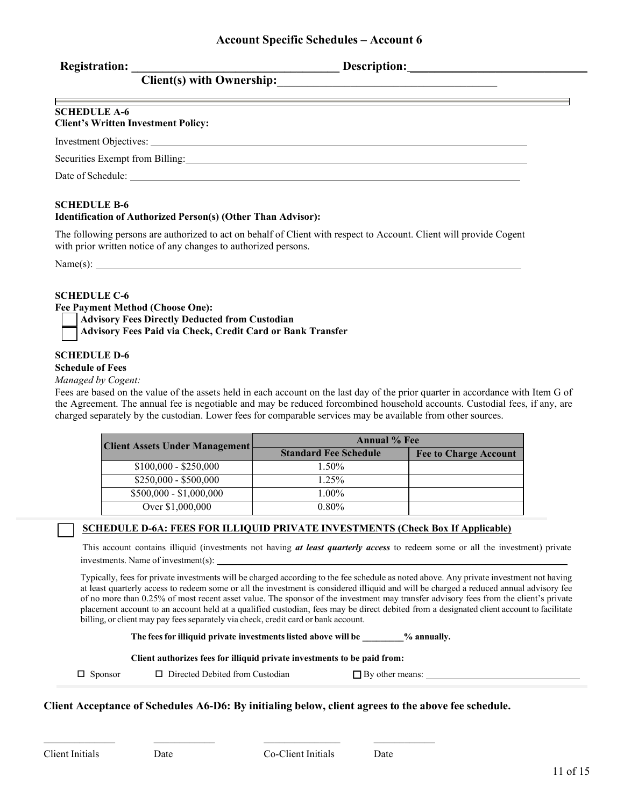| <b>Registration:</b> |  |
|----------------------|--|
|                      |  |

**Registration: \_\_\_\_\_\_\_\_\_\_\_\_\_\_\_\_\_\_\_\_\_\_\_\_\_\_\_\_\_\_\_\_\_\_ Description:** \_\_\_\_\_\_\_\_\_\_\_\_\_\_\_\_\_\_\_\_\_\_\_\_\_\_\_\_\_

| <b>SCHEDULE A-6</b><br><b>Client's Written Investment Policy:</b>                                                                                                                                                              |  |
|--------------------------------------------------------------------------------------------------------------------------------------------------------------------------------------------------------------------------------|--|
|                                                                                                                                                                                                                                |  |
| Securities Exempt from Billing: and the securities of the securities of the securities of the securities of the securities of the securities of the securities of the securities of the securities of the securities of the se |  |
| Date of Schedule:                                                                                                                                                                                                              |  |

### **SCHEDULE B-6**

### **Identification of Authorized Person(s) (Other Than Advisor):**

**Client(s) with Ownership:**\_\_\_\_\_\_\_\_\_\_\_\_\_\_\_\_\_\_\_\_\_\_\_\_\_\_\_\_\_\_\_\_\_\_\_\_

The following persons are authorized to act on behalf of Client with respect to Account. Client will provide Cogent with prior written notice of any changes to authorized persons.

 $Name(s): \_\_$ 

### **SCHEDULE C-6**

**Fee Payment Method (Choose One):** 

**Advisory Fees Directly Deducted from Custodian**

**Advisory Fees Paid via Check, Credit Card or Bank Transfer**

### **SCHEDULE D-6**

### **Schedule of Fees**

### *Managed by Cogent:*

Fees are based on the value of the assets held in each account on the last day of the prior quarter in accordance with Item G of the Agreement. The annual fee is negotiable and may be reduced forcombined household accounts. Custodial fees, if any, are charged separately by the custodian. Lower fees for comparable services may be available from other sources.

| <b>Client Assets Under Management</b> | <b>Annual % Fee</b>          |                              |
|---------------------------------------|------------------------------|------------------------------|
|                                       | <b>Standard Fee Schedule</b> | <b>Fee to Charge Account</b> |
| $$100,000 - $250,000$                 | $1.50\%$                     |                              |
| $$250,000 - $500,000$                 | $1.25\%$                     |                              |
| $$500,000 - $1,000,000$               | $1.00\%$                     |                              |
| Over \$1,000,000                      | $0.80\%$                     |                              |

### **SCHEDULE D-6A: FEES FOR ILLIQUID PRIVATE INVESTMENTS (Check Box If Applicable)**

This account contains illiquid (investments not having *at least quarterly access* to redeem some or all the investment) private investments. Name of investment(s):

Typically, fees for private investments will be charged according to the fee schedule as noted above. Any private investment not having at least quarterly access to redeem some or all the investment is considered illiquid and will be charged a reduced annual advisory fee of no more than 0.25% of most recent asset value. The sponsor of the investment may transfer advisory fees from the client's private placement account to an account held at a qualified custodian, fees may be direct debited from a designated client account to facilitate billing, or client may pay fees separately via check, credit card or bank account.

**The feesfor illiquid private investmentslisted above will be \_\_\_\_\_\_\_\_\_% annually.**

#### **Client authorizes fees for illiquid private investments to be paid from:**

\_\_\_\_\_\_\_\_\_\_\_\_\_\_ \_\_\_\_\_\_\_\_\_\_\_\_ \_\_\_\_\_\_\_\_\_\_\_\_\_\_\_ \_\_\_\_\_\_\_\_\_\_\_\_

 $\Box$  Sponsor  $\Box$  Directed Debited from Custodian

 $\Box$  By other means:  $\Box$ 

### **Client Acceptance of Schedules A6-D6: By initialing below, client agrees to the above fee schedule.**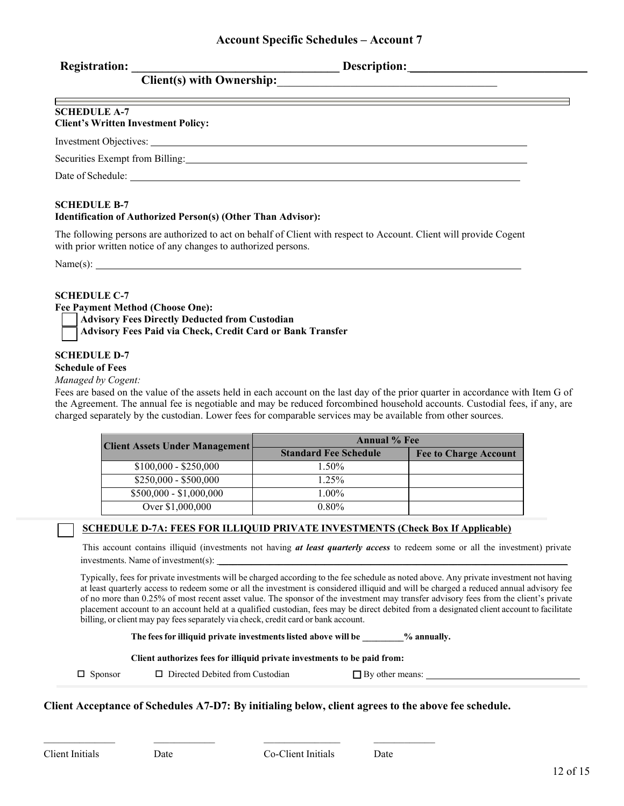| <b>Registration:</b> |  |
|----------------------|--|
|                      |  |

**Registration: \_\_\_\_\_\_\_\_\_\_\_\_\_\_\_\_\_\_\_\_\_\_\_\_\_\_\_\_\_\_\_\_\_\_ Description:** \_\_\_\_\_\_\_\_\_\_\_\_\_\_\_\_\_\_\_\_\_\_\_\_\_\_\_\_\_

| <b>SCHEDULE A-7</b><br><b>Client's Written Investment Policy:</b>                                                                                                                                                              |  |
|--------------------------------------------------------------------------------------------------------------------------------------------------------------------------------------------------------------------------------|--|
| Investment Objectives: University of the Contract of the Contract of the Contract of the Contract of the Contract of the Contract of the Contract of the Contract of the Contract of the Contract of the Contract of the Contr |  |
| Securities Exempt from Billing: No. 1996. The Securities Exempt from Billing:                                                                                                                                                  |  |
| Date of Schedule:                                                                                                                                                                                                              |  |

### **SCHEDULE B-7**

### **Identification of Authorized Person(s) (Other Than Advisor):**

**Client(s) with Ownership:**\_\_\_\_\_\_\_\_\_\_\_\_\_\_\_\_\_\_\_\_\_\_\_\_\_\_\_\_\_\_\_\_\_\_\_\_

The following persons are authorized to act on behalf of Client with respect to Account. Client will provide Cogent with prior written notice of any changes to authorized persons.

 $Name(s): \_\_$ 

### **SCHEDULE C-7**

**Fee Payment Method (Choose One):** 

**Advisory Fees Directly Deducted from Custodian**

**Advisory Fees Paid via Check, Credit Card or Bank Transfer**

### **SCHEDULE D-7**

### **Schedule of Fees**

### *Managed by Cogent:*

Fees are based on the value of the assets held in each account on the last day of the prior quarter in accordance with Item G of the Agreement. The annual fee is negotiable and may be reduced forcombined household accounts. Custodial fees, if any, are charged separately by the custodian. Lower fees for comparable services may be available from other sources.

| <b>Client Assets Under Management</b> | <b>Annual % Fee</b>          |                              |
|---------------------------------------|------------------------------|------------------------------|
|                                       | <b>Standard Fee Schedule</b> | <b>Fee to Charge Account</b> |
| $$100,000 - $250,000$                 | $1.50\%$                     |                              |
| $$250,000 - $500,000$                 | $1.25\%$                     |                              |
| $$500,000 - $1,000,000$               | $1.00\%$                     |                              |
| Over \$1,000,000                      | $0.80\%$                     |                              |

### **SCHEDULE D-7A: FEES FOR ILLIQUID PRIVATE INVESTMENTS (Check Box If Applicable)**

This account contains illiquid (investments not having *at least quarterly access* to redeem some or all the investment) private investments. Name of investment(s):

Typically, fees for private investments will be charged according to the fee schedule as noted above. Any private investment not having at least quarterly access to redeem some or all the investment is considered illiquid and will be charged a reduced annual advisory fee of no more than 0.25% of most recent asset value. The sponsor of the investment may transfer advisory fees from the client's private placement account to an account held at a qualified custodian, fees may be direct debited from a designated client account to facilitate billing, or client may pay fees separately via check, credit card or bank account.

**The feesfor illiquid private investmentslisted above will be \_\_\_\_\_\_\_\_\_% annually.**

#### **Client authorizes fees for illiquid private investments to be paid from:**

\_\_\_\_\_\_\_\_\_\_\_\_\_\_ \_\_\_\_\_\_\_\_\_\_\_\_ \_\_\_\_\_\_\_\_\_\_\_\_\_\_\_ \_\_\_\_\_\_\_\_\_\_\_\_

 $\Box$  Sponsor  $\Box$  Directed Debited from Custodian

 $\Box$  By other means:  $\Box$ 

**Client Acceptance of Schedules A7-D7: By initialing below, client agrees to the above fee schedule.**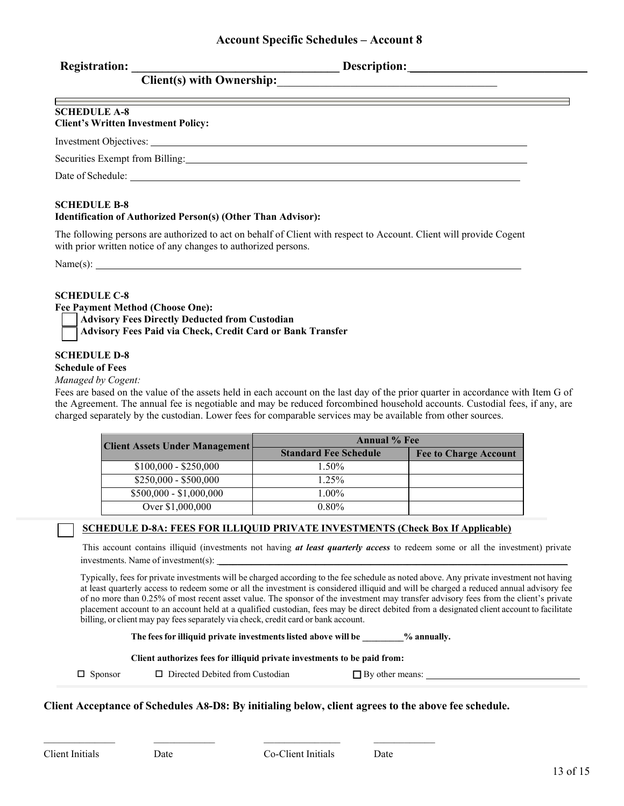| <b>Registration:</b> |  |
|----------------------|--|
|                      |  |

**Registration: \_\_\_\_\_\_\_\_\_\_\_\_\_\_\_\_\_\_\_\_\_\_\_\_\_\_\_\_\_\_\_\_\_\_ Description:** \_\_\_\_\_\_\_\_\_\_\_\_\_\_\_\_\_\_\_\_\_\_\_\_\_\_\_\_\_

| <b>SCHEDULE A-8</b><br><b>Client's Written Investment Policy:</b>       |  |
|-------------------------------------------------------------------------|--|
|                                                                         |  |
| Securities Exempt from Billing: and the securities exempt from Billing: |  |
| Date of Schedule:                                                       |  |

### **SCHEDULE B-8**

### **Identification of Authorized Person(s) (Other Than Advisor):**

**Client(s) with Ownership:**\_\_\_\_\_\_\_\_\_\_\_\_\_\_\_\_\_\_\_\_\_\_\_\_\_\_\_\_\_\_\_\_\_\_\_\_

The following persons are authorized to act on behalf of Client with respect to Account. Client will provide Cogent with prior written notice of any changes to authorized persons.

 $Name(s): \_\_$ 

### **SCHEDULE C-8**

**Fee Payment Method (Choose One):** 

**Advisory Fees Directly Deducted from Custodian**

**Advisory Fees Paid via Check, Credit Card or Bank Transfer**

### **SCHEDULE D-8**

### **Schedule of Fees**

### *Managed by Cogent:*

Fees are based on the value of the assets held in each account on the last day of the prior quarter in accordance with Item G of the Agreement. The annual fee is negotiable and may be reduced forcombined household accounts. Custodial fees, if any, are charged separately by the custodian. Lower fees for comparable services may be available from other sources.

| <b>Client Assets Under Management</b> | <b>Annual % Fee</b>          |                              |
|---------------------------------------|------------------------------|------------------------------|
|                                       | <b>Standard Fee Schedule</b> | <b>Fee to Charge Account</b> |
| $$100,000 - $250,000$                 | $1.50\%$                     |                              |
| $$250,000 - $500,000$                 | $1.25\%$                     |                              |
| $$500,000 - $1,000,000$               | $1.00\%$                     |                              |
| Over \$1,000,000                      | $0.80\%$                     |                              |

### **SCHEDULE D-8A: FEES FOR ILLIQUID PRIVATE INVESTMENTS (Check Box If Applicable)**

This account contains illiquid (investments not having *at least quarterly access* to redeem some or all the investment) private investments. Name of investment(s):

Typically, fees for private investments will be charged according to the fee schedule as noted above. Any private investment not having at least quarterly access to redeem some or all the investment is considered illiquid and will be charged a reduced annual advisory fee of no more than 0.25% of most recent asset value. The sponsor of the investment may transfer advisory fees from the client's private placement account to an account held at a qualified custodian, fees may be direct debited from a designated client account to facilitate billing, or client may pay fees separately via check, credit card or bank account.

**The feesfor illiquid private investmentslisted above will be \_\_\_\_\_\_\_\_\_% annually.**

#### **Client authorizes fees for illiquid private investments to be paid from:**

 $\Box$  Sponsor  $\Box$  Directed Debited from Custodian

\_\_\_\_\_\_\_\_\_\_\_\_\_\_ \_\_\_\_\_\_\_\_\_\_\_\_ \_\_\_\_\_\_\_\_\_\_\_\_\_\_\_ \_\_\_\_\_\_\_\_\_\_\_\_

 $\Box$  By other means:  $\Box$ 

### **Client Acceptance of Schedules A8-D8: By initialing below, client agrees to the above fee schedule.**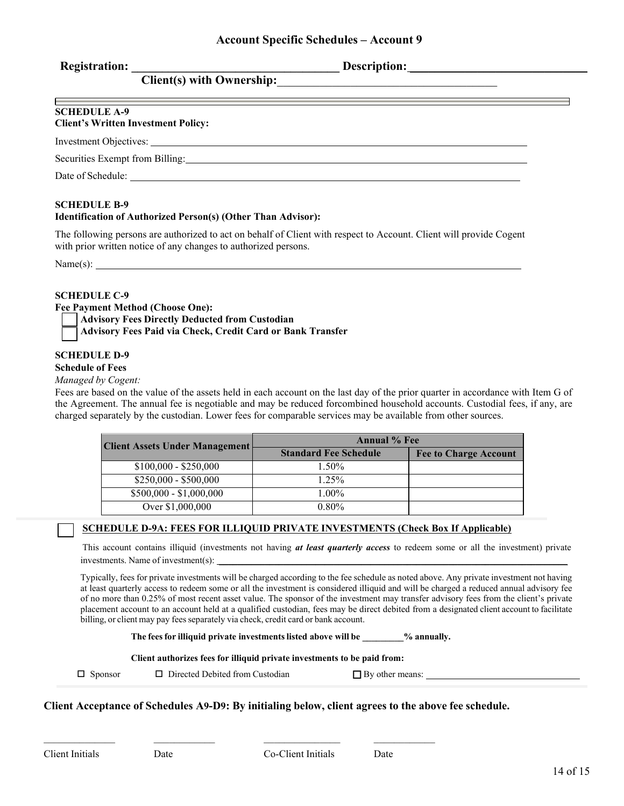|  | <b>Registration:</b> |  |
|--|----------------------|--|
|  |                      |  |

**Registration: \_\_\_\_\_\_\_\_\_\_\_\_\_\_\_\_\_\_\_\_\_\_\_\_\_\_\_\_\_\_\_\_\_\_ Description:** \_\_\_\_\_\_\_\_\_\_\_\_\_\_\_\_\_\_\_\_\_\_\_\_\_\_\_\_\_

| <b>SCHEDULE A-9</b><br><b>Client's Written Investment Policy:</b> |  |
|-------------------------------------------------------------------|--|
|                                                                   |  |
| Securities Exempt from Billing:                                   |  |
| Date of Schedule:                                                 |  |

### **SCHEDULE B-9**

### **Identification of Authorized Person(s) (Other Than Advisor):**

**Client(s) with Ownership:**\_\_\_\_\_\_\_\_\_\_\_\_\_\_\_\_\_\_\_\_\_\_\_\_\_\_\_\_\_\_\_\_\_\_\_\_

The following persons are authorized to act on behalf of Client with respect to Account. Client will provide Cogent with prior written notice of any changes to authorized persons.

 $Name(s): \_\_$ 

### **SCHEDULE C-9**

**Fee Payment Method (Choose One):** 

**Advisory Fees Directly Deducted from Custodian**

**Advisory Fees Paid via Check, Credit Card or Bank Transfer**

### **SCHEDULE D-9**

#### **Schedule of Fees**

#### *Managed by Cogent:*

Fees are based on the value of the assets held in each account on the last day of the prior quarter in accordance with Item G of the Agreement. The annual fee is negotiable and may be reduced forcombined household accounts. Custodial fees, if any, are charged separately by the custodian. Lower fees for comparable services may be available from other sources.

| <b>Client Assets Under Management</b> | <b>Annual % Fee</b>          |                              |
|---------------------------------------|------------------------------|------------------------------|
|                                       | <b>Standard Fee Schedule</b> | <b>Fee to Charge Account</b> |
| $$100,000 - $250,000$                 | $1.50\%$                     |                              |
| $$250,000 - $500,000$                 | $1.25\%$                     |                              |
| $$500,000 - $1,000,000$               | $1.00\%$                     |                              |
| Over \$1,000,000                      | $0.80\%$                     |                              |

### **SCHEDULE D-9A: FEES FOR ILLIQUID PRIVATE INVESTMENTS (Check Box If Applicable)**

This account contains illiquid (investments not having *at least quarterly access* to redeem some or all the investment) private investments. Name of investment(s):

Typically, fees for private investments will be charged according to the fee schedule as noted above. Any private investment not having at least quarterly access to redeem some or all the investment is considered illiquid and will be charged a reduced annual advisory fee of no more than 0.25% of most recent asset value. The sponsor of the investment may transfer advisory fees from the client's private placement account to an account held at a qualified custodian, fees may be direct debited from a designated client account to facilitate billing, or client may pay fees separately via check, credit card or bank account.

**The feesfor illiquid private investmentslisted above will be \_\_\_\_\_\_\_\_\_% annually.**

#### **Client authorizes fees for illiquid private investments to be paid from:**

 $\Box$  Sponsor  $\Box$  Directed Debited from Custodian

\_\_\_\_\_\_\_\_\_\_\_\_\_\_ \_\_\_\_\_\_\_\_\_\_\_\_ \_\_\_\_\_\_\_\_\_\_\_\_\_\_\_ \_\_\_\_\_\_\_\_\_\_\_\_

 $\Box$  By other means:  $\Box$ 

### **Client Acceptance of Schedules A9-D9: By initialing below, client agrees to the above fee schedule.**